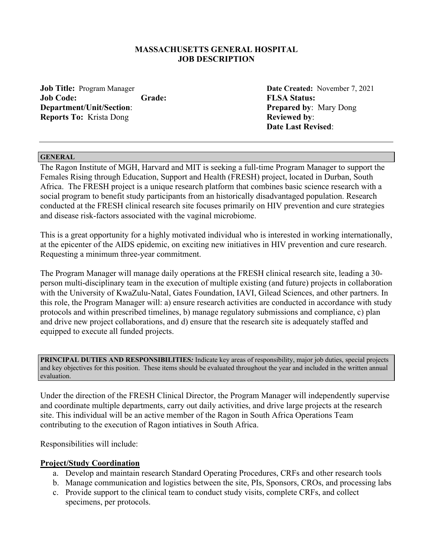#### **MASSACHUSETTS GENERAL HOSPITAL JOB DESCRIPTION**

**Job Title:** Program Manager **Date Created:** November 7, 2021 **Job Code: Grade: FLSA Status: Department/Unit/Section**: **Prepared by**: Mary Dong **Reports To:** Krista Dong **Reviewed by: Reviewed by:** 

 **Date Last Revised**:

#### **GENERAL**

The Ragon Institute of MGH, Harvard and MIT is seeking a full-time Program Manager to support the Females Rising through Education, Support and Health (FRESH) project, located in Durban, South Africa. The FRESH project is a unique research platform that combines basic science research with a social program to benefit study participants from an historically disadvantaged population. Research conducted at the FRESH clinical research site focuses primarily on HIV prevention and cure strategies and disease risk-factors associated with the vaginal microbiome.

This is a great opportunity for a highly motivated individual who is interested in working internationally, at the epicenter of the AIDS epidemic, on exciting new initiatives in HIV prevention and cure research. Requesting a minimum three-year commitment.

The Program Manager will manage daily operations at the FRESH clinical research site, leading a 30 person multi-disciplinary team in the execution of multiple existing (and future) projects in collaboration with the University of KwaZulu-Natal, Gates Foundation, IAVI, Gilead Sciences, and other partners. In this role, the Program Manager will: a) ensure research activities are conducted in accordance with study protocols and within prescribed timelines, b) manage regulatory submissions and compliance, c) plan and drive new project collaborations, and d) ensure that the research site is adequately staffed and equipped to execute all funded projects.

**PRINCIPAL DUTIES AND RESPONSIBILITIES***:* Indicate key areas of responsibility, major job duties, special projects and key objectives for this position. These items should be evaluated throughout the year and included in the written annual evaluation.

Under the direction of the FRESH Clinical Director, the Program Manager will independently supervise and coordinate multiple departments, carry out daily activities, and drive large projects at the research site. This individual will be an active member of the Ragon in South Africa Operations Team contributing to the execution of Ragon intiatives in South Africa.

Responsibilities will include:

### **Project/Study Coordination**

- a. Develop and maintain research Standard Operating Procedures, CRFs and other research tools
- b. Manage communication and logistics between the site, PIs, Sponsors, CROs, and processing labs
- c. Provide support to the clinical team to conduct study visits, complete CRFs, and collect specimens, per protocols.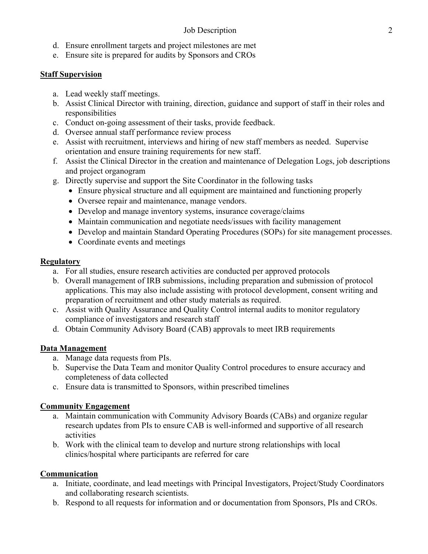- d. Ensure enrollment targets and project milestones are met
- e. Ensure site is prepared for audits by Sponsors and CROs

## **Staff Supervision**

- a. Lead weekly staff meetings.
- b. Assist Clinical Director with training, direction, guidance and support of staff in their roles and responsibilities
- c. Conduct on-going assessment of their tasks, provide feedback.
- d. Oversee annual staff performance review process
- e. Assist with recruitment, interviews and hiring of new staff members as needed. Supervise orientation and ensure training requirements for new staff.
- f. Assist the Clinical Director in the creation and maintenance of Delegation Logs, job descriptions and project organogram
- g. Directly supervise and support the Site Coordinator in the following tasks
	- Ensure physical structure and all equipment are maintained and functioning properly
	- Oversee repair and maintenance, manage vendors.
	- Develop and manage inventory systems, insurance coverage/claims
	- Maintain communication and negotiate needs/issues with facility management
	- Develop and maintain Standard Operating Procedures (SOPs) for site management processes.
	- Coordinate events and meetings

## **Regulatory**

- a. For all studies, ensure research activities are conducted per approved protocols
- b. Overall management of IRB submissions, including preparation and submission of protocol applications. This may also include assisting with protocol development, consent writing and preparation of recruitment and other study materials as required.
- c. Assist with Quality Assurance and Quality Control internal audits to monitor regulatory compliance of investigators and research staff
- d. Obtain Community Advisory Board (CAB) approvals to meet IRB requirements

# **Data Management**

- a. Manage data requests from PIs.
- b. Supervise the Data Team and monitor Quality Control procedures to ensure accuracy and completeness of data collected
- c. Ensure data is transmitted to Sponsors, within prescribed timelines

# **Community Engagement**

- a. Maintain communication with Community Advisory Boards (CABs) and organize regular research updates from PIs to ensure CAB is well-informed and supportive of all research activities
- b. Work with the clinical team to develop and nurture strong relationships with local clinics/hospital where participants are referred for care

### **Communication**

- a. Initiate, coordinate, and lead meetings with Principal Investigators, Project/Study Coordinators and collaborating research scientists.
- b. Respond to all requests for information and or documentation from Sponsors, PIs and CROs.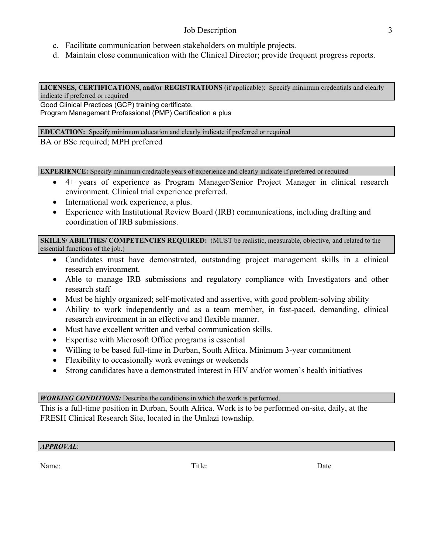### Job Description 3

- c. Facilitate communication between stakeholders on multiple projects.
- d. Maintain close communication with the Clinical Director; provide frequent progress reports.

**LICENSES, CERTIFICATIONS, and/or REGISTRATIONS** (if applicable): Specify minimum credentials and clearly indicate if preferred or required

Good Clinical Practices (GCP) training certificate. Program Management Professional (PMP) Certification a plus

**EDUCATION:** Specify minimum education and clearly indicate if preferred or required

BA or BSc required; MPH preferred

**EXPERIENCE:** Specify minimum creditable years of experience and clearly indicate if preferred or required

- 4+ years of experience as Program Manager/Senior Project Manager in clinical research environment. Clinical trial experience preferred.
- International work experience, a plus.
- Experience with Institutional Review Board (IRB) communications, including drafting and coordination of IRB submissions.

**SKILLS/ ABILITIES/ COMPETENCIES REQUIRED:** (MUST be realistic, measurable, objective, and related to the essential functions of the job.)

- Candidates must have demonstrated, outstanding project management skills in a clinical research environment.
- Able to manage IRB submissions and regulatory compliance with Investigators and other research staff
- Must be highly organized; self-motivated and assertive, with good problem-solving ability
- Ability to work independently and as a team member, in fast-paced, demanding, clinical research environment in an effective and flexible manner.
- Must have excellent written and verbal communication skills.
- Expertise with Microsoft Office programs is essential
- Willing to be based full-time in Durban, South Africa. Minimum 3-year commitment
- Flexibility to occasionally work evenings or weekends
- Strong candidates have a demonstrated interest in HIV and/or women's health initiatives

### *WORKING CONDITIONS:* Describe the conditions in which the work is performed.

This is a full-time position in Durban, South Africa. Work is to be performed on-site, daily, at the FRESH Clinical Research Site, located in the Umlazi township.

### *APPROVAL*:

Name: Date Date Date